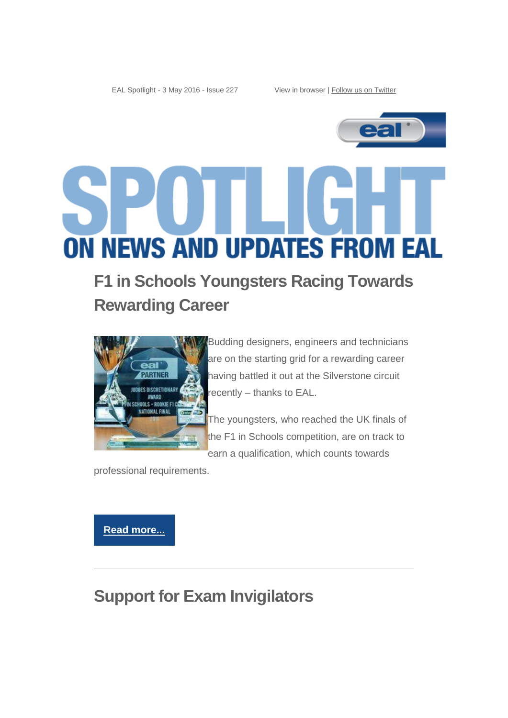EAL Spotlight - 3 May 2016 - Issue 227 View in browser [| Follow us on Twitter](https://twitter.com/eal_awards)



# **ON NEWS AND UPDATES FROM EAL**

# **F1 in Schools Youngsters Racing Towards Rewarding Career**



**Budding designers, engineers and technicians** are on the starting grid for a rewarding career having battled it out at the Silverstone circuit recently – thanks to EAL.

The youngsters, who reached the UK finals of the F1 in Schools competition, are on track to earn a qualification, which counts towards

professional requirements.

**[Read more...](http://eal.org.uk/news/press-releases/2408-eal-takes-pole-position-at-silverstone)**

## **Support for Exam Invigilators**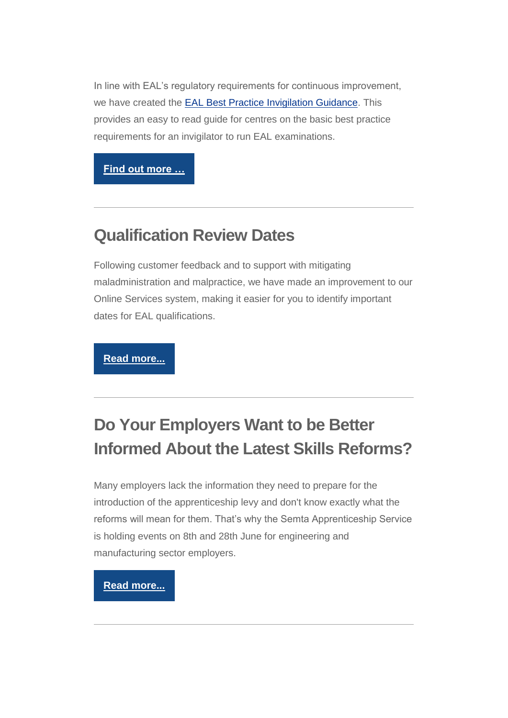In line with EAL's regulatory requirements for continuous improvement, we have created the EAL Best Practice [Invigilation Guidance.](http://eal.org.uk/centre-support/centre-support/policies-and-important-documents/63-best-practice-invigilation-guidance) This provides an easy to read guide for centres on the basic best practice requirements for an invigilator to run EAL examinations.

**[Find out more …](http://eal.org.uk/news/76-centre-updates/2415-eal-best-practice-exam-invigilation-support)** 

#### **Qualification Review Dates**

Following customer feedback and to support with mitigating maladministration and malpractice, we have made an improvement to our Online Services system, making it easier for you to identify important dates for EAL qualifications.

**[Read more...](http://eal.org.uk/news/71-qualifications-news/2300-qualification-review-dates)**

## **Do Your Employers Want to be Better Informed About the Latest Skills Reforms?**

Many employers lack the information they need to prepare for the introduction of the apprenticeship levy and don't know exactly what the reforms will mean for them. That's why the Semta Apprenticeship Service is holding events on 8th and 28th June for engineering and manufacturing sector employers.

#### **[Read more...](http://eal.org.uk/news/events/86-upcoming-events/2412-want-to-be-better-informed-about-the-latest-skills-reforms-3)**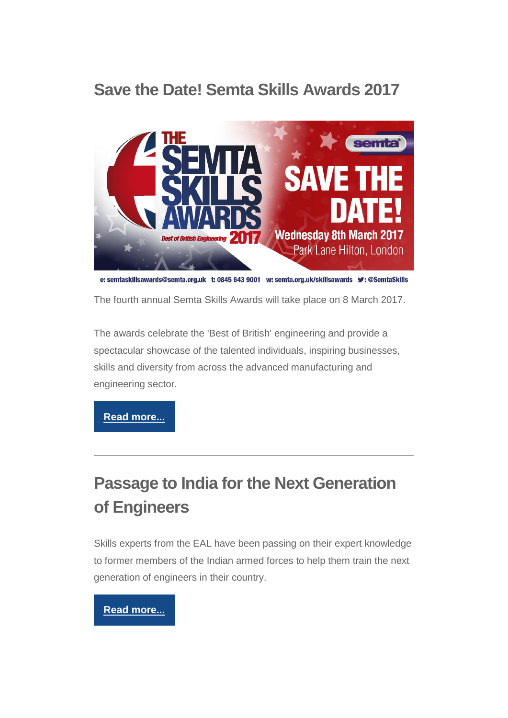## **Save the Date! Semta Skills Awards 2017**



e: semtaskillsawards@semta.org.uk t: 0845 643 9001 w: semta.org.uk/skillsawards  $\blacktriangleright$ : @SemtaSkills

The fourth annual Semta Skills Awards will take place on 8 March 2017.

The awards celebrate the 'Best of British' engineering and provide a spectacular showcase of the talented individuals, inspiring businesses, skills and diversity from across the advanced manufacturing and engineering sector.

**[Read more...](http://eal.org.uk/news/events/86-upcoming-events/2414-save-the-date-semta-skills-awards-2017-8-march-2017)**

# **Passage to India for the Next Generation of Engineers**

Skills experts from the EAL have been passing on their expert knowledge to former members of the Indian armed forces to help them train the next generation of engineers in their country.

#### **[Read more...](http://eal.org.uk/news/press-releases/2407-passage-to-india-for-next-generation-of-engineers)**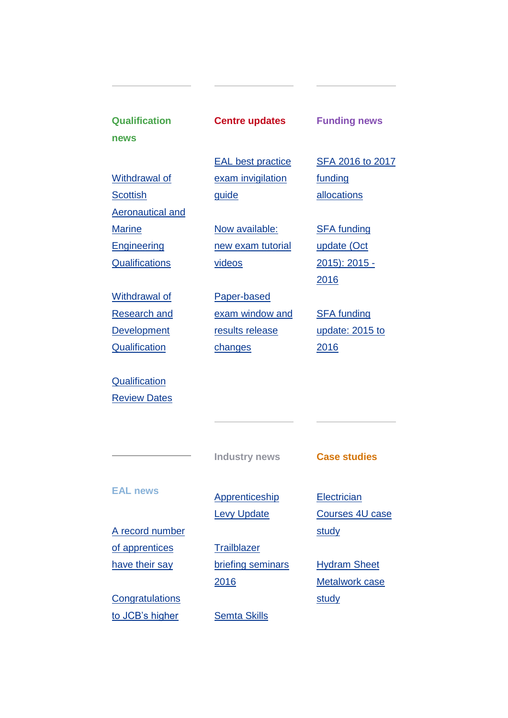| <b>Qualification</b>    | <b>Centre updates</b>    | <b>Funding news</b>    |
|-------------------------|--------------------------|------------------------|
| news                    |                          |                        |
|                         | <b>EAL</b> best practice | SFA 2016 to 2017       |
| Withdrawal of           | exam invigilation        | funding                |
| <b>Scottish</b>         | guide                    | allocations            |
| <b>Aeronautical and</b> |                          |                        |
| <b>Marine</b>           | Now available:           | <b>SFA funding</b>     |
| Engineering             | new exam tutorial        | update (Oct            |
| <b>Qualifications</b>   | videos                   | <u>2015): 2015 -</u>   |
|                         |                          | 2016                   |
| Withdrawal of           | Paper-based              |                        |
| <b>Research and</b>     | exam window and          | <b>SFA funding</b>     |
| <b>Development</b>      | results release          | update: 2015 to        |
| Qualification           | changes                  | 2016                   |
| Qualification           |                          |                        |
| <b>Review Dates</b>     |                          |                        |
|                         |                          |                        |
|                         |                          |                        |
|                         | <b>Industry news</b>     | <b>Case studies</b>    |
|                         |                          |                        |
| <b>EAL news</b>         | Apprenticeship           | Electrician            |
|                         | <b>Levy Update</b>       | <b>Courses 4U case</b> |
| A record number         |                          | study                  |
| of apprentices          | <b>Trailblazer</b>       |                        |
| have their say          | briefing seminars        | <b>Hydram Sheet</b>    |
|                         | 2016                     | <b>Metalwork case</b>  |
| Congratulations         |                          |                        |
|                         |                          | study                  |
| to JCB's higher         | <b>Semta Skills</b>      |                        |